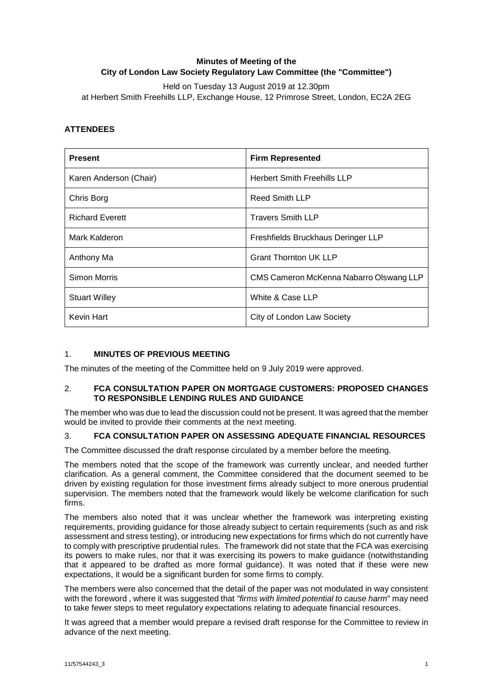# **Minutes of Meeting of the City of London Law Society Regulatory Law Committee (the "Committee")**

Held on Tuesday 13 August 2019 at 12.30pm at Herbert Smith Freehills LLP, Exchange House, 12 Primrose Street, London, EC2A 2EG

# **ATTENDEES**

| <b>Present</b>         | <b>Firm Represented</b>                 |
|------------------------|-----------------------------------------|
| Karen Anderson (Chair) | <b>Herbert Smith Freehills LLP</b>      |
| Chris Borg             | <b>Reed Smith LLP</b>                   |
| <b>Richard Everett</b> | <b>Travers Smith LLP</b>                |
| Mark Kalderon          | Freshfields Bruckhaus Deringer LLP      |
| Anthony Ma             | <b>Grant Thornton UK LLP</b>            |
| Simon Morris           | CMS Cameron McKenna Nabarro Olswang LLP |
| <b>Stuart Willey</b>   | White & Case LLP                        |
| Kevin Hart             | City of London Law Society              |

# 1. **MINUTES OF PREVIOUS MEETING**

The minutes of the meeting of the Committee held on 9 July 2019 were approved.

# 2. **FCA CONSULTATION PAPER ON MORTGAGE CUSTOMERS: PROPOSED CHANGES TO RESPONSIBLE LENDING RULES AND GUIDANCE**

The member who was due to lead the discussion could not be present. It was agreed that the member would be invited to provide their comments at the next meeting.

# 3. **FCA CONSULTATION PAPER ON ASSESSING ADEQUATE FINANCIAL RESOURCES**

The Committee discussed the draft response circulated by a member before the meeting.

The members noted that the scope of the framework was currently unclear, and needed further clarification. As a general comment, the Committee considered that the document seemed to be driven by existing regulation for those investment firms already subject to more onerous prudential supervision. The members noted that the framework would likely be welcome clarification for such firms.

The members also noted that it was unclear whether the framework was interpreting existing requirements, providing guidance for those already subject to certain requirements (such as and risk assessment and stress testing), or introducing new expectations for firms which do not currently have to comply with prescriptive prudential rules. The framework did not state that the FCA was exercising its powers to make rules, nor that it was exercising its powers to make guidance (notwithstanding that it appeared to be drafted as more formal guidance). It was noted that if these were new expectations, it would be a significant burden for some firms to comply.

The members were also concerned that the detail of the paper was not modulated in way consistent with the foreword , where it was suggested that *"firms with limited potential to cause harm*" may need to take fewer steps to meet regulatory expectations relating to adequate financial resources.

It was agreed that a member would prepare a revised draft response for the Committee to review in advance of the next meeting.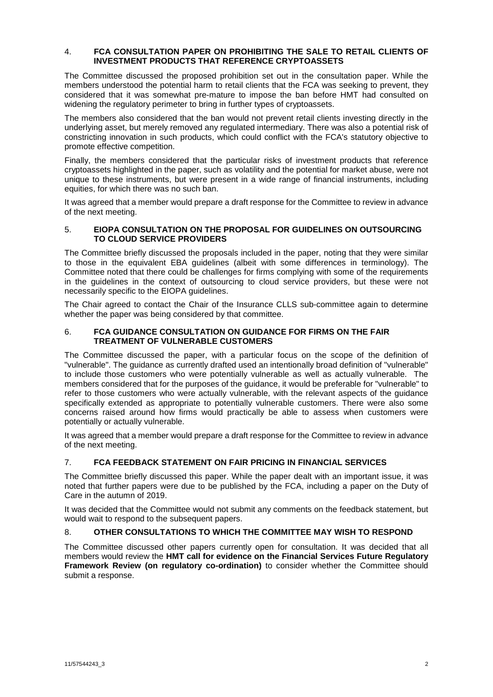#### 4. **FCA CONSULTATION PAPER ON PROHIBITING THE SALE TO RETAIL CLIENTS OF INVESTMENT PRODUCTS THAT REFERENCE CRYPTOASSETS**

The Committee discussed the proposed prohibition set out in the consultation paper. While the members understood the potential harm to retail clients that the FCA was seeking to prevent, they considered that it was somewhat pre-mature to impose the ban before HMT had consulted on widening the regulatory perimeter to bring in further types of cryptoassets.

The members also considered that the ban would not prevent retail clients investing directly in the underlying asset, but merely removed any regulated intermediary. There was also a potential risk of constricting innovation in such products, which could conflict with the FCA's statutory objective to promote effective competition.

Finally, the members considered that the particular risks of investment products that reference cryptoassets highlighted in the paper, such as volatility and the potential for market abuse, were not unique to these instruments, but were present in a wide range of financial instruments, including equities, for which there was no such ban.

It was agreed that a member would prepare a draft response for the Committee to review in advance of the next meeting.

### 5. **EIOPA CONSULTATION ON THE PROPOSAL FOR GUIDELINES ON OUTSOURCING TO CLOUD SERVICE PROVIDERS**

The Committee briefly discussed the proposals included in the paper, noting that they were similar to those in the equivalent EBA guidelines (albeit with some differences in terminology). The Committee noted that there could be challenges for firms complying with some of the requirements in the guidelines in the context of outsourcing to cloud service providers, but these were not necessarily specific to the EIOPA guidelines.

The Chair agreed to contact the Chair of the Insurance CLLS sub-committee again to determine whether the paper was being considered by that committee.

### 6. **FCA GUIDANCE CONSULTATION ON GUIDANCE FOR FIRMS ON THE FAIR TREATMENT OF VULNERABLE CUSTOMERS**

The Committee discussed the paper, with a particular focus on the scope of the definition of "vulnerable". The guidance as currently drafted used an intentionally broad definition of "vulnerable" to include those customers who were potentially vulnerable as well as actually vulnerable. The members considered that for the purposes of the guidance, it would be preferable for "vulnerable" to refer to those customers who were actually vulnerable, with the relevant aspects of the guidance specifically extended as appropriate to potentially vulnerable customers. There were also some concerns raised around how firms would practically be able to assess when customers were potentially or actually vulnerable.

It was agreed that a member would prepare a draft response for the Committee to review in advance of the next meeting.

# 7. **FCA FEEDBACK STATEMENT ON FAIR PRICING IN FINANCIAL SERVICES**

The Committee briefly discussed this paper. While the paper dealt with an important issue, it was noted that further papers were due to be published by the FCA, including a paper on the Duty of Care in the autumn of 2019.

It was decided that the Committee would not submit any comments on the feedback statement, but would wait to respond to the subsequent papers.

# 8. **OTHER CONSULTATIONS TO WHICH THE COMMITTEE MAY WISH TO RESPOND**

The Committee discussed other papers currently open for consultation. It was decided that all members would review the **HMT call for evidence on the Financial Services Future Regulatory Framework Review (on regulatory co-ordination)** to consider whether the Committee should submit a response.